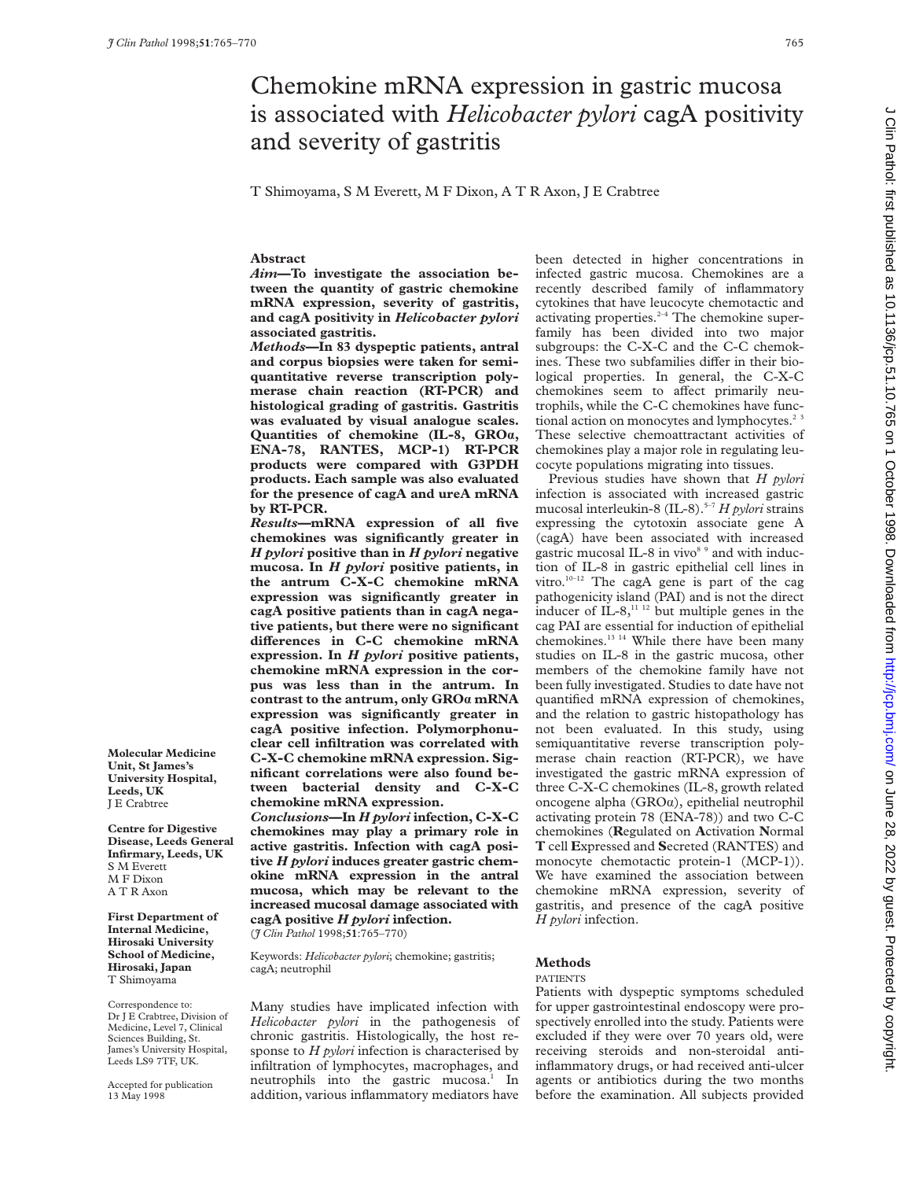# Chemokine mRNA expression in gastric mucosa is associated with *Helicobacter pylori* cagA positivity and severity of gastritis

T Shimoyama, S M Everett, M F Dixon, A T R Axon, J E Crabtree

## **Abstract**

*Aim***—To investigate the association between the quantity of gastric chemokine mRNA expression, severity of gastritis, and cagA positivity in** *Helicobacter pylori* **associated gastritis.**

*Methods***—In 83 dyspeptic patients, antral and corpus biopsies were taken for semiquantitative reverse transcription polymerase chain reaction (RT-PCR) and histological grading of gastritis. Gastritis was evaluated by visual analogue scales. Quantities of chemokine (IL-8, GROá, ENA-78, RANTES, MCP-1) RT-PCR products were compared with G3PDH products. Each sample was also evaluated for the presence of cagA and ureA mRNA by RT-PCR.**

*Results***—mRNA expression of all five chemokines was significantly greater in** *H pylori* **positive than in** *H pylori* **negative mucosa. In** *H pylori* **positive patients, in the antrum C-X-C chemokine mRNA expression was significantly greater in cagA positive patients than in cagA negative patients, but there were no significant diVerences in C-C chemokine mRNA expression. In** *H pylori* **positive patients, chemokine mRNA expression in the corpus was less than in the antrum. In contrast to the antrum, only GROá mRNA expression was significantly greater in cagA positive infection. Polymorphonuclear cell infiltration was correlated with C-X-C chemokine mRNA expression. Significant correlations were also found between bacterial density and C-X-C chemokine mRNA expression.**

*Conclusions***—In** *H pylori* **infection, C-X-C chemokines may play a primary role in active gastritis. Infection with cagA positive** *H pylori* **induces greater gastric chemokine mRNA expression in the antral mucosa, which may be relevant to the increased mucosal damage associated with cagA positive** *H pylori* **infection.**

(*J Clin Pathol* 1998;**51**:765–770)

Keywords: *Helicobacter pylori*; chemokine; gastritis; cagA; neutrophil

Many studies have implicated infection with *Helicobacter pylori* in the pathogenesis of chronic gastritis. Histologically, the host response to *H pylori* infection is characterised by infiltration of lymphocytes, macrophages, and neutrophils into the gastric mucosa.<sup>1</sup> In addition, various inflammatory mediators have

been detected in higher concentrations in infected gastric mucosa. Chemokines are a recently described family of inflammatory cytokines that have leucocyte chemotactic and activating properties.<sup>2-4</sup> The chemokine superfamily has been divided into two major subgroups: the C-X-C and the C-C chemokines. These two subfamilies differ in their biological properties. In general, the C-X-C chemokines seem to affect primarily neutrophils, while the C-C chemokines have functional action on monocytes and lymphocytes.<sup>23</sup> These selective chemoattractant activities of chemokines play a major role in regulating leucocyte populations migrating into tissues.

Previous studies have shown that *H pylori* infection is associated with increased gastric mucosal interleukin-8 (IL-8).<sup>5-7</sup> *H pylori* strains expressing the cytotoxin associate gene A (cagA) have been associated with increased gastric mucosal IL-8 in vivo $89$  and with induction of IL-8 in gastric epithelial cell lines in vitro.<sup>10–12</sup> The cagA gene is part of the cag pathogenicity island (PAI) and is not the direct inducer of  $IL-8$ ,<sup>11 12</sup> but multiple genes in the cag PAI are essential for induction of epithelial chemokines.<sup>13</sup> <sup>14</sup> While there have been many studies on IL-8 in the gastric mucosa, other members of the chemokine family have not been fully investigated. Studies to date have not quantified mRNA expression of chemokines, and the relation to gastric histopathology has not been evaluated. In this study, using semiquantitative reverse transcription polymerase chain reaction (RT-PCR), we have investigated the gastric mRNA expression of three C-X-C chemokines (IL-8, growth related oncogene alpha (GROa), epithelial neutrophil activating protein 78 (ENA-78)) and two C-C chemokines (**R**egulated on **A**ctivation **N**ormal **T** cell **E**xpressed and **S**ecreted (RANTES) and monocyte chemotactic protein-1 (MCP-1)). We have examined the association between chemokine mRNA expression, severity of gastritis, and presence of the cagA positive *H pylori* infection.

## **Methods**

### PATIENTS

Patients with dyspeptic symptoms scheduled for upper gastrointestinal endoscopy were prospectively enrolled into the study. Patients were excluded if they were over 70 years old, were receiving steroids and non-steroidal antiinflammatory drugs, or had received anti-ulcer agents or antibiotics during the two months before the examination. All subjects provided

**Molecular Medicine Unit, St James's University Hospital, Leeds, UK** J E Crabtree

**Centre for Digestive Disease, Leeds General Infirmary, Leeds, UK** S M Everett M F Dixon A T R Axon

**First Department of Internal Medicine, Hirosaki University School of Medicine, Hirosaki, Japan** T Shimoyama

Correspondence to: Dr J E Crabtree, Division of Medicine, Level 7, Clinical Sciences Building, St. James's University Hospital, Leeds LS9 7TF, UK.

Accepted for publication 13 May 1998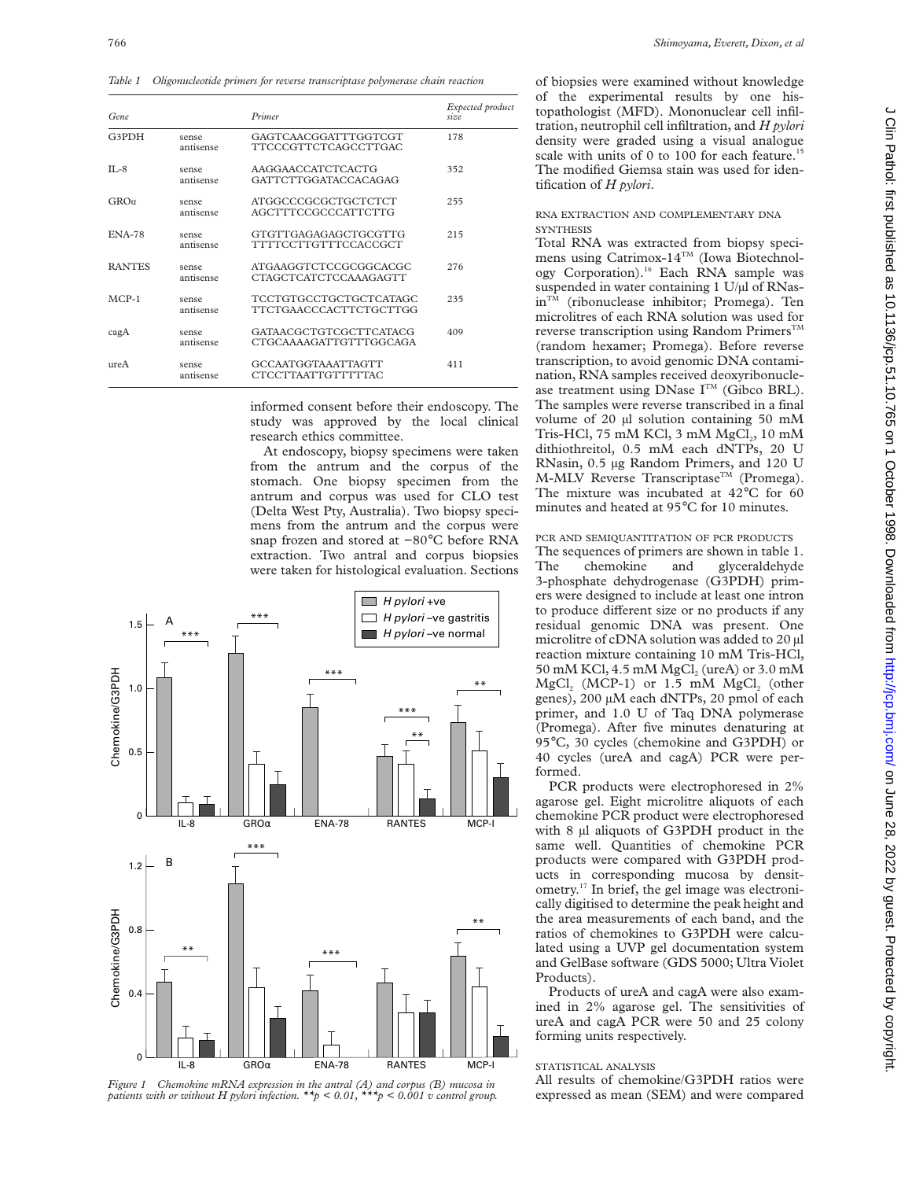*Table 1 Oligonucleotide primers for reverse transcriptase polymerase chain reaction*

| Gene             |                    | Primer                                                  | Expected product<br>size |
|------------------|--------------------|---------------------------------------------------------|--------------------------|
| G3PDH            | sense<br>antisense | GAGTCAACGGATTTGGTCGT<br>TTCCCGTTCTCAGCCTTGAC            | 178                      |
| $II - 8$         | sense<br>antisense | AAGGAACCATCTCACTG<br>GATTCTTGGATACCACAGAG               | 352                      |
| GRO <sub>0</sub> | sense<br>antisense | ATGGCCCGCGCTGCTCTCT<br>AGCTTTCCGCCCATTCTTG              | 255                      |
| <b>ENA-78</b>    | sense<br>antisense | GTGTTGAGAGAGCTGCGTTG<br>TTTTCCTTGTTTCCACCGCT            | 215                      |
| <b>RANTES</b>    | sense<br>antisense | ATGAAGGTCTCCGCGGCACGC<br><b>CTAGCTCATCTCCAAAGAGTT</b>   | 276                      |
| $MCP-1$          | sense<br>antisense | TCCTGTGCCTGCTGCTCATAGC<br><b>TTCTGAACCCACTTCTGCTTGG</b> | 235                      |
| cagA             | sense<br>antisense | GATAACGCTGTCGCTTCATACG<br>CTGCAAAAGATTGTTTGGCAGA        | 409                      |
| ureA             | sense<br>antisense | <b>GCCAATGGTAAATTAGTT</b><br>CTCCTTAATTGTTTTTAC         | 411                      |

informed consent before their endoscopy. The study was approved by the local clinical research ethics committee.

At endoscopy, biopsy specimens were taken from the antrum and the corpus of the stomach. One biopsy specimen from the antrum and corpus was used for CLO test (Delta West Pty, Australia). Two biopsy specimens from the antrum and the corpus were snap frozen and stored at −80°C before RNA extraction. Two antral and corpus biopsies were taken for histological evaluation. Sections





of biopsies were examined without knowledge of the experimental results by one histopathologist (MFD). Mononuclear cell infiltration, neutrophil cell infiltration, and *H pylori* density were graded using a visual analogue scale with units of 0 to 100 for each feature.<sup>15</sup> The modified Giemsa stain was used for identification of *H pylori*.

## RNA EXTRACTION AND COMPLEMENTARY DNA **SYNTHESIS**

Total RNA was extracted from biopsy specimens using Catrimox-14<sup>TM</sup> (Iowa Biotechnology Corporation).<sup>16</sup> Each RNA sample was suspended in water containing 1 U/µl of RNasin<sup>TM</sup> (ribonuclease inhibitor; Promega). Ten microlitres of each RNA solution was used for reverse transcription using Random Primers<sup>TM</sup> (random hexamer; Promega). Before reverse transcription, to avoid genomic DNA contamination, RNA samples received deoxyribonuclease treatment using DNase I<sup>TM</sup> (Gibco BRL). The samples were reverse transcribed in a final volume of 20  $\mu$ l solution containing 50 mM Tris-HCl,  $75 \text{ mM}$  KCl,  $3 \text{ mM}$  MgCl<sub>2</sub>,  $10 \text{ mM}$ dithiothreitol, 0.5 mM each dNTPs, 20 U RNasin, 0.5 µg Random Primers, and 120 U M-MLV Reverse Transcriptase<sup>™</sup> (Promega). The mixture was incubated at 42°C for 60 minutes and heated at 95°C for 10 minutes.

PCR AND SEMIQUANTITATION OF PCR PRODUCTS

The sequences of primers are shown in table 1. The chemokine and glyceraldehyde 3-phosphate dehydrogenase (G3PDH) primers were designed to include at least one intron to produce different size or no products if any residual genomic DNA was present. One microlitre of cDNA solution was added to 20 µl reaction mixture containing 10 mM Tris-HCl, 50 mM KCl, 4.5 mM MgCl<sub>2</sub> (ureA) or 3.0 mM MgCl<sub>2</sub> (MCP-1) or  $1.5$  mM MgCl<sub>2</sub> (other genes), 200 µM each dNTPs, 20 pmol of each primer, and 1.0 U of Taq DNA polymerase (Promega). After five minutes denaturing at 95°C, 30 cycles (chemokine and G3PDH) or 40 cycles (ureA and cagA) PCR were performed.

PCR products were electrophoresed in 2% agarose gel. Eight microlitre aliquots of each chemokine PCR product were electrophoresed with 8 µl aliquots of G3PDH product in the same well. Quantities of chemokine PCR products were compared with G3PDH products in corresponding mucosa by densitometry.17 In brief, the gel image was electronically digitised to determine the peak height and the area measurements of each band, and the ratios of chemokines to G3PDH were calculated using a UVP gel documentation system and GelBase software (GDS 5000; Ultra Violet Products).

Products of ureA and cagA were also examined in 2% agarose gel. The sensitivities of ureA and cagA PCR were 50 and 25 colony forming units respectively.

## STATISTICAL ANALYSIS

All results of chemokine/G3PDH ratios were expressed as mean (SEM) and were compared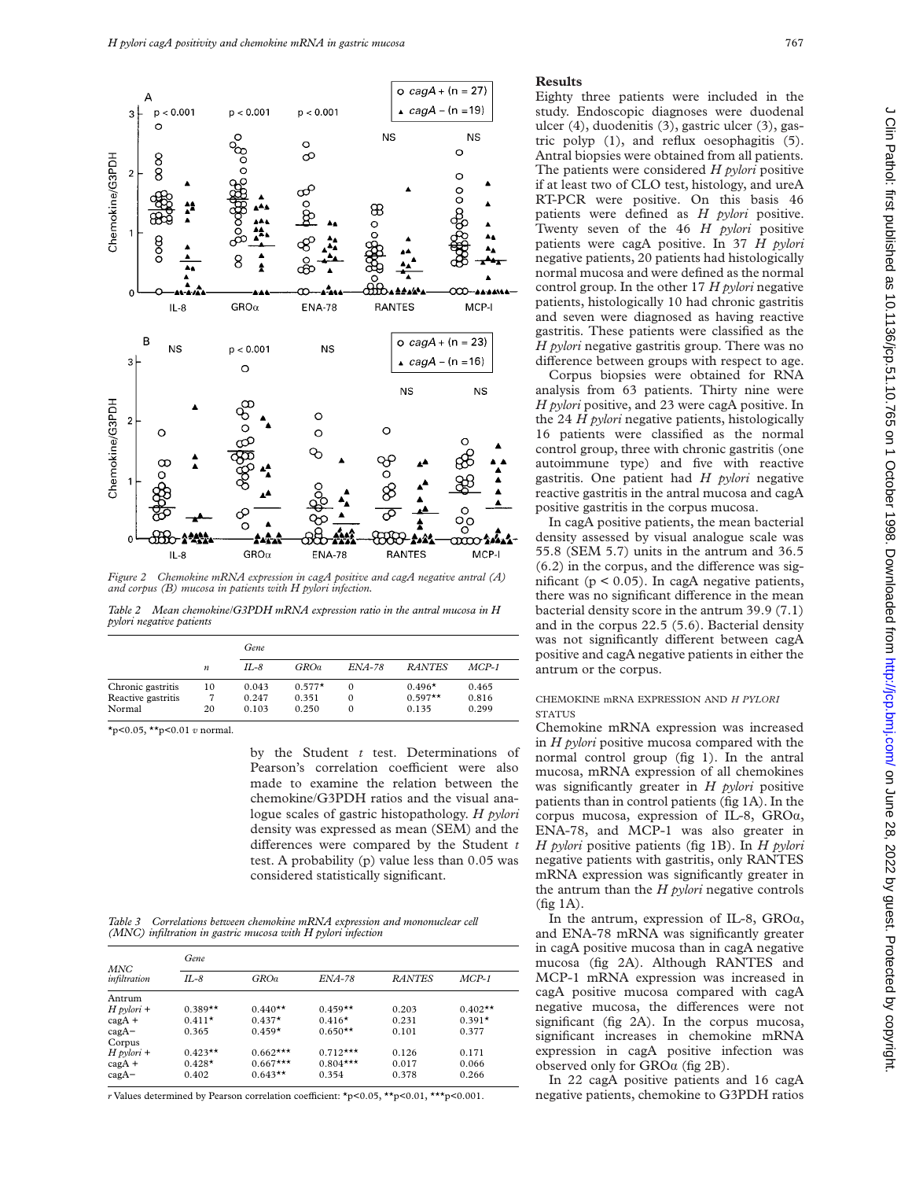

*Figure 2 Chemokine mRNA expression in cagA positive and cagA negative antral (A) and corpus (B) mucosa in patients with H pylori infection.*

*Table 2 Mean chemokine/G3PDH mRNA expression ratio in the antral mucosa in H pylori negative patients*

|                    |                  | Gene     |             |               |               |         |
|--------------------|------------------|----------|-------------|---------------|---------------|---------|
|                    | $\boldsymbol{n}$ | $II - 8$ | <b>GROa</b> | <i>ENA-78</i> | <b>RANTES</b> | $MCP-1$ |
| Chronic gastritis  | 10               | 0.043    | $0.577*$    | $\Omega$      | $0.496*$      | 0.465   |
| Reactive gastritis |                  | 0.247    | 0.351       | $\Omega$      | $0.597**$     | 0.816   |
| Normal             | 20               | 0.103    | 0.250       |               | 0.135         | 0.299   |

\*p<0.05, \*\*p<0.01 *v* normal.

by the Student *t* test. Determinations of Pearson's correlation coefficient were also made to examine the relation between the chemokine/G3PDH ratios and the visual analogue scales of gastric histopathology. *H pylori* density was expressed as mean (SEM) and the differences were compared by the Student *t* test. A probability (p) value less than 0.05 was considered statistically significant.

*Table 3 Correlations between chemokine mRNA expression and mononuclear cell (MNC) infiltration in gastric mucosa with H pylori infection*

| MNC.<br>infiltration | Gene      |            |               |               |           |  |  |
|----------------------|-----------|------------|---------------|---------------|-----------|--|--|
|                      | IL-8      | GROa       | <i>ENA-78</i> | <b>RANTES</b> | $MCP-1$   |  |  |
| Antrum               |           |            |               |               |           |  |  |
| $H$ pylori +         | $0.389**$ | $0.440**$  | $0.459**$     | 0.203         | $0.402**$ |  |  |
| $\text{cagA}$ +      | $0.411*$  | $0.437*$   | $0.416*$      | 0.231         | $0.391*$  |  |  |
| $cagA-$              | 0.365     | $0.459*$   | $0.650**$     | 0.101         | 0.377     |  |  |
| Corpus               |           |            |               |               |           |  |  |
| $H$ pylori +         | $0.423**$ | $0.662***$ | $0.712***$    | 0.126         | 0.171     |  |  |
| $\text{cagA}$ +      | $0.428*$  | $0.667***$ | $0.804***$    | 0.017         | 0.066     |  |  |
| $cagA-$              | 0.402     | $0.643**$  | 0.354         | 0.378         | 0.266     |  |  |

*r* Values determined by Pearson correlation coefficient: \*p<0.05, \*\*p<0.01, \*\*\*p<0.001.

## **Results**

Eighty three patients were included in the study. Endoscopic diagnoses were duodenal ulcer (4), duodenitis (3), gastric ulcer (3), gastric polyp (1), and reflux oesophagitis (5). Antral biopsies were obtained from all patients. The patients were considered *H pylori* positive if at least two of CLO test, histology, and ureA RT-PCR were positive. On this basis 46 patients were defined as *H pylori* positive. Twenty seven of the 46 *H pylori* positive patients were cagA positive. In 37 *H pylori* negative patients, 20 patients had histologically normal mucosa and were defined as the normal control group. In the other 17 *H pylori* negative patients, histologically 10 had chronic gastritis and seven were diagnosed as having reactive gastritis. These patients were classified as the *H pylori* negative gastritis group. There was no difference between groups with respect to age.

Corpus biopsies were obtained for RNA analysis from 63 patients. Thirty nine were *H pylori* positive, and 23 were cagA positive. In the 24 *H pylori* negative patients, histologically 16 patients were classified as the normal control group, three with chronic gastritis (one autoimmune type) and five with reactive gastritis. One patient had *H pylori* negative reactive gastritis in the antral mucosa and cagA positive gastritis in the corpus mucosa.

In cagA positive patients, the mean bacterial density assessed by visual analogue scale was 55.8 (SEM 5.7) units in the antrum and 36.5  $(6.2)$  in the corpus, and the difference was significant ( $p < 0.05$ ). In cagA negative patients, there was no significant difference in the mean bacterial density score in the antrum 39.9 (7.1) and in the corpus 22.5 (5.6). Bacterial density was not significantly different between cagA positive and cagA negative patients in either the antrum or the corpus.

## CHEMOKINE mRNA EXPRESSION AND *H PYLORI* **STATUS**

Chemokine mRNA expression was increased in *H pylori* positive mucosa compared with the normal control group (fig 1). In the antral mucosa, mRNA expression of all chemokines was significantly greater in *H pylori* positive patients than in control patients (fig 1A). In the corpus mucosa, expression of IL-8,  $GROa$ , ENA-78, and MCP-1 was also greater in *H pylori* positive patients (fig 1B). In *H pylori* negative patients with gastritis, only RANTES mRNA expression was significantly greater in the antrum than the *H pylori* negative controls  $(fig 1A)$ .

In the antrum, expression of IL-8,  $GROa$ , and ENA-78 mRNA was significantly greater in cagA positive mucosa than in cagA negative mucosa (fig 2A). Although RANTES and MCP-1 mRNA expression was increased in cagA positive mucosa compared with cagA negative mucosa, the differences were not significant (fig 2A). In the corpus mucosa, significant increases in chemokine mRNA expression in cagA positive infection was observed only for  $GROa$  (fig 2B).

In 22 cagA positive patients and 16 cagA negative patients, chemokine to G3PDH ratios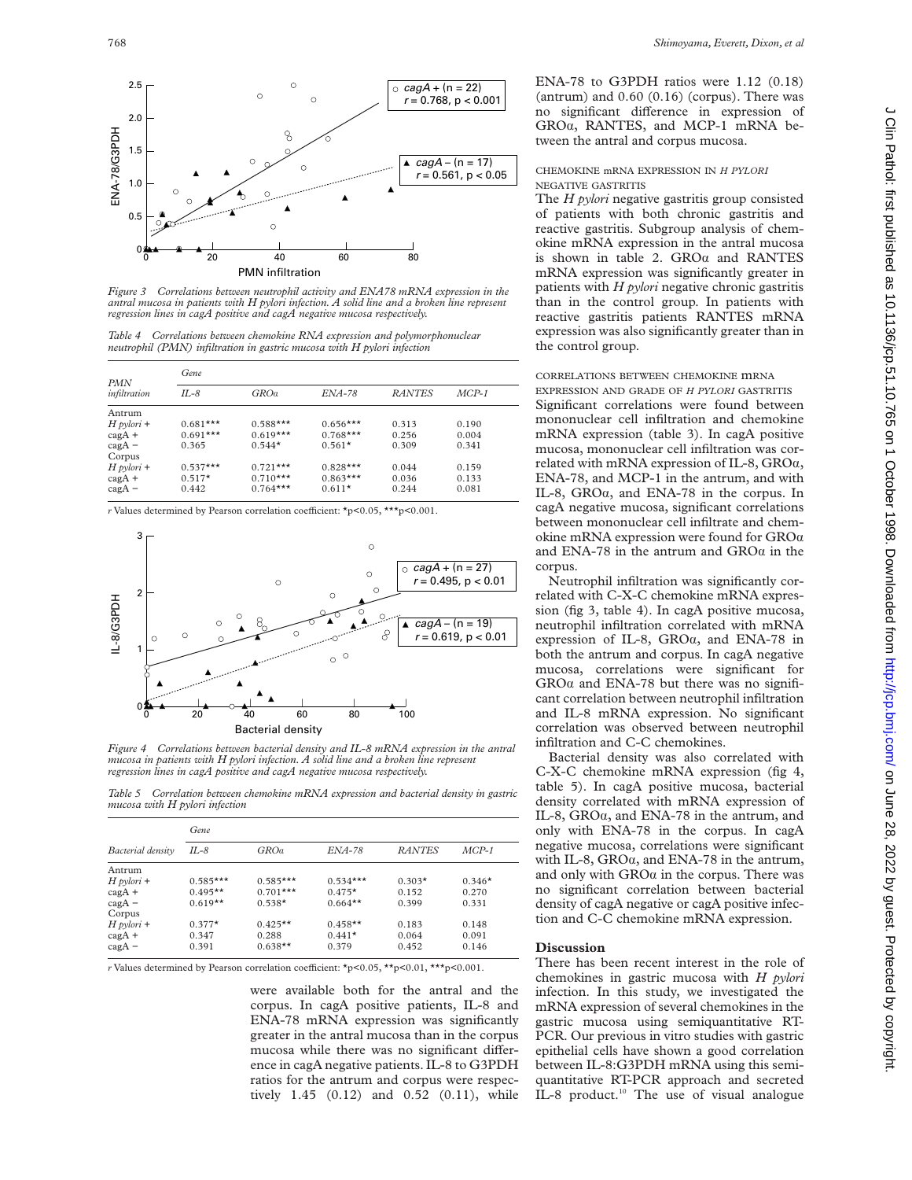

*Figure 3 Correlations between neutrophil activity and ENA78 mRNA expression in the antral mucosa in patients with H pylori infection. A solid line and a broken line represent regression lines in cagA positive and cagA negative mucosa respectively.*

*Table 4 Correlations between chemokine RNA expression and polymorphonuclear neutrophil (PMN) infiltration in gastric mucosa with H pylori infection*

| <b>PMN</b><br>infiltration | Gene       |            |               |               |         |  |  |
|----------------------------|------------|------------|---------------|---------------|---------|--|--|
|                            | $IL-8$     | GROa       | <i>ENA-78</i> | <b>RANTES</b> | $MCP-1$ |  |  |
| Antrum                     |            |            |               |               |         |  |  |
| $H$ pylori +               | $0.681***$ | $0.588***$ | $0.656***$    | 0.313         | 0.190   |  |  |
| $\text{cagA}$ +            | $0.691***$ | $0.619***$ | $0.768***$    | 0.256         | 0.004   |  |  |
| $\text{cagA}$ –            | 0.365      | $0.544*$   | $0.561*$      | 0.309         | 0.341   |  |  |
| Corpus                     |            |            |               |               |         |  |  |
| $H$ pylori +               | $0.537***$ | $0.721***$ | $0.828***$    | 0.044         | 0.159   |  |  |
| $\text{cagA}$ +            | $0.517*$   | $0.710***$ | $0.863***$    | 0.036         | 0.133   |  |  |
| $\text{cagA}$ –            | 0.442      | $0.764***$ | $0.611*$      | 0.244         | 0.081   |  |  |

*r* Values determined by Pearson correlation coefficient: \*p<0.05, \*\*\*p<0.001.



*Figure 4 Correlations between bacterial density and IL-8 mRNA expression in the antral mucosa in patients with H pylori infection. A solid line and a broken line represent regression lines in cagA positive and cagA negative mucosa respectively.*

*Table 5 Correlation between chemokine mRNA expression and bacterial density in gastric mucosa with H pylori infection*

|                   | Gene       |            |               |               |          |  |
|-------------------|------------|------------|---------------|---------------|----------|--|
| Bacterial density | $IL-8$     | GROa       | <i>ENA-78</i> | <b>RANTES</b> | $MCP-1$  |  |
| Antrum            |            |            |               |               |          |  |
| $H$ pylori +      | $0.585***$ | $0.585***$ | $0.534***$    | $0.303*$      | $0.346*$ |  |
| $c$ ag $A$ +      | $0.495**$  | $0.701***$ | $0.475*$      | 0.152         | 0.270    |  |
| $\text{cagA}$ –   | $0.619**$  | $0.538*$   | $0.664**$     | 0.399         | 0.331    |  |
| Corpus            |            |            |               |               |          |  |
| $H$ pylori +      | $0.377*$   | $0.425**$  | $0.458**$     | 0.183         | 0.148    |  |
| $c$ ag $A$ +      | 0.347      | 0.288      | $0.441*$      | 0.064         | 0.091    |  |
| $\text{cagA}$ –   | 0.391      | $0.638**$  | 0.379         | 0.452         | 0.146    |  |

*r* Values determined by Pearson correlation coefficient: \*p<0.05, \*\*p<0.01, \*\*\*p<0.001.

were available both for the antral and the corpus. In cagA positive patients, IL-8 and ENA-78 mRNA expression was significantly greater in the antral mucosa than in the corpus mucosa while there was no significant difference in cagA negative patients. IL-8 to G3PDH ratios for the antrum and corpus were respectively 1.45 (0.12) and 0.52 (0.11), while ENA-78 to G3PDH ratios were 1.12 (0.18) (antrum) and 0.60 (0.16) (corpus). There was no significant difference in expression of GROa, RANTES, and MCP-1 mRNA between the antral and corpus mucosa.

## CHEMOKINE mRNA EXPRESSION IN *H PYLORI* NEGATIVE GASTRITIS

The *H pylori* negative gastritis group consisted of patients with both chronic gastritis and reactive gastritis. Subgroup analysis of chemokine mRNA expression in the antral mucosa is shown in table 2.  $GROa$  and RANTES mRNA expression was significantly greater in patients with *H pylori* negative chronic gastritis than in the control group. In patients with reactive gastritis patients RANTES mRNA expression was also significantly greater than in the control group.

CORRELATIONS BETWEEN CHEMOKINE mRNA

EXPRESSION AND GRADE OF *H PYLORI* GASTRITIS Significant correlations were found between mononuclear cell infiltration and chemokine mRNA expression (table 3). In cagA positive mucosa, mononuclear cell infiltration was correlated with mRNA expression of IL-8,  $GROa$ , ENA-78, and MCP-1 in the antrum, and with IL-8,  $GRO\alpha$ , and ENA-78 in the corpus. In cagA negative mucosa, significant correlations between mononuclear cell infiltrate and chemokine mRNA expression were found for  $GROa$ and ENA-78 in the antrum and  $GRO\alpha$  in the corpus.

Neutrophil infiltration was significantly correlated with C-X-C chemokine mRNA expression (fig 3, table 4). In cagA positive mucosa, neutrophil infiltration correlated with mRNA expression of IL-8,  $GRO\alpha$ , and ENA-78 in both the antrum and corpus. In cagA negative mucosa, correlations were significant for  $GROa$  and ENA-78 but there was no significant correlation between neutrophil infiltration and IL-8 mRNA expression. No significant correlation was observed between neutrophil infiltration and C-C chemokines.

Bacterial density was also correlated with C-X-C chemokine mRNA expression (fig 4, table 5). In cagA positive mucosa, bacterial density correlated with mRNA expression of IL-8,  $GRO\alpha$ , and ENA-78 in the antrum, and only with ENA-78 in the corpus. In cagA negative mucosa, correlations were significant with IL-8,  $GRO\alpha$ , and ENA-78 in the antrum, and only with  $GROa$  in the corpus. There was no significant correlation between bacterial density of cagA negative or cagA positive infection and C-C chemokine mRNA expression.

## **Discussion**

There has been recent interest in the role of chemokines in gastric mucosa with *H pylori* infection. In this study, we investigated the mRNA expression of several chemokines in the gastric mucosa using semiquantitative RT-PCR. Our previous in vitro studies with gastric epithelial cells have shown a good correlation between IL-8:G3PDH mRNA using this semiquantitative RT-PCR approach and secreted IL-8 product.<sup>10</sup> The use of visual analogue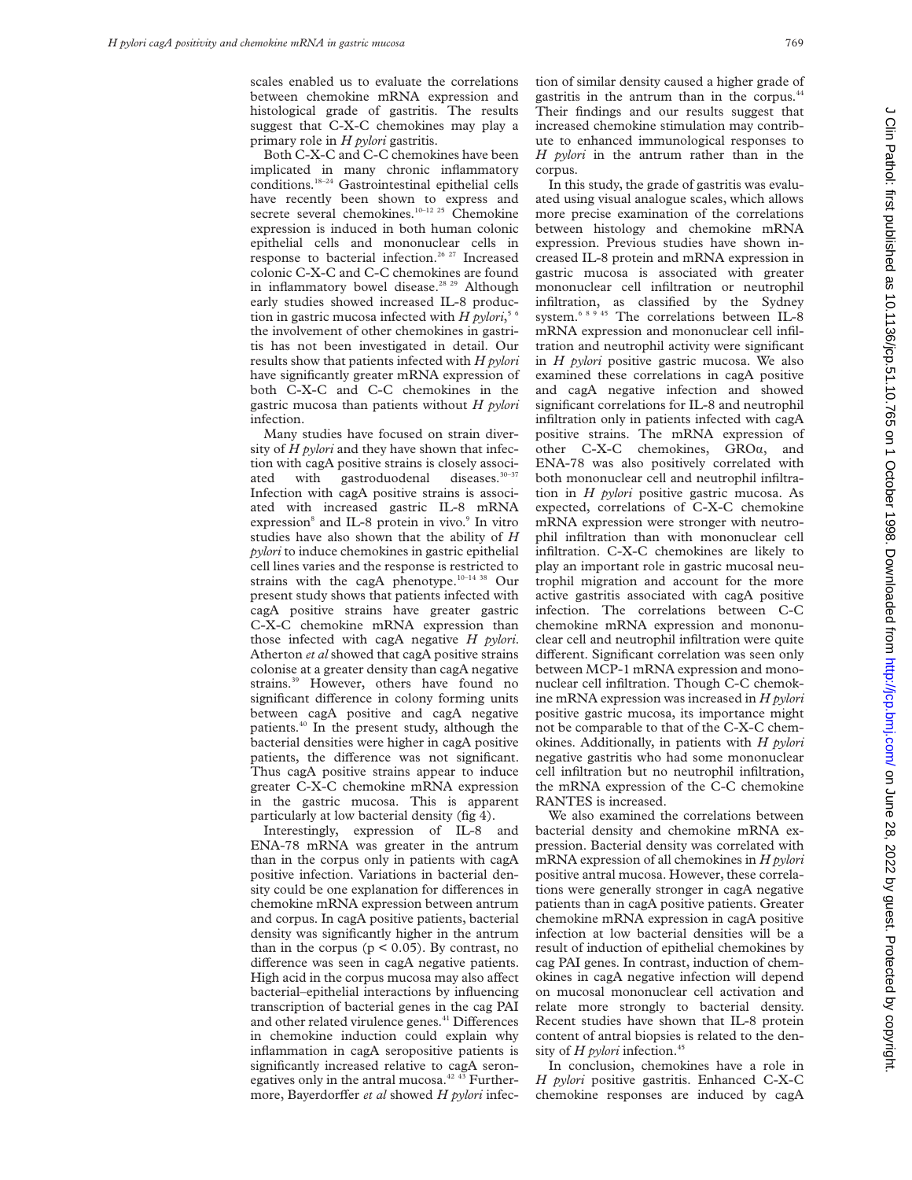scales enabled us to evaluate the correlations between chemokine mRNA expression and histological grade of gastritis. The results suggest that C-X-C chemokines may play a primary role in *H pylori* gastritis.

Both C-X-C and C-C chemokines have been implicated in many chronic inflammatory conditions.18–24 Gastrointestinal epithelial cells have recently been shown to express and secrete several chemokines.<sup>10–12 25</sup> Chemokine expression is induced in both human colonic epithelial cells and mononuclear cells in response to bacterial infection.26 27 Increased colonic C-X-C and C-C chemokines are found in inflammatory bowel disease.<sup>28 29</sup> Although early studies showed increased IL-8 production in gastric mucosa infected with *H pylori*, 5 6 the involvement of other chemokines in gastritis has not been investigated in detail. Our results show that patients infected with *H pylori* have significantly greater mRNA expression of both C-X-C and C-C chemokines in the gastric mucosa than patients without *H pylori* infection.

Many studies have focused on strain diversity of *H pylori* and they have shown that infection with cagA positive strains is closely associated with gastroduodenal diseases. $30-37$ ated with gastroduodenal Infection with cagA positive strains is associated with increased gastric IL-8 mRNA expression<sup>8</sup> and IL-8 protein in vivo.<sup>9</sup> In vitro studies have also shown that the ability of *H pylori* to induce chemokines in gastric epithelial cell lines varies and the response is restricted to strains with the cagA phenotype.<sup>10-14 38</sup> Our present study shows that patients infected with cagA positive strains have greater gastric C-X-C chemokine mRNA expression than those infected with cagA negative *H pylori*. Atherton *et al* showed that cagA positive strains colonise at a greater density than cagA negative strains.<sup>39</sup> However, others have found no significant difference in colony forming units between cagA positive and cagA negative patients.40 In the present study, although the bacterial densities were higher in cagA positive patients, the difference was not significant. Thus cagA positive strains appear to induce greater C-X-C chemokine mRNA expression in the gastric mucosa. This is apparent particularly at low bacterial density (fig 4).

Interestingly, expression of IL-8 and ENA-78 mRNA was greater in the antrum than in the corpus only in patients with cagA positive infection. Variations in bacterial density could be one explanation for differences in chemokine mRNA expression between antrum and corpus. In cagA positive patients, bacterial density was significantly higher in the antrum than in the corpus ( $p < 0.05$ ). By contrast, no difference was seen in cagA negative patients. High acid in the corpus mucosa may also affect bacterial–epithelial interactions by influencing transcription of bacterial genes in the cag PAI and other related virulence genes.<sup>41</sup> Differences in chemokine induction could explain why inflammation in cagA seropositive patients is significantly increased relative to cagA seronegatives only in the antral mucosa.<sup>42 43</sup> Furthermore, Bayerdorffer et al showed *H pylori* infec-

tion of similar density caused a higher grade of gastritis in the antrum than in the corpus.<sup>44</sup> Their findings and our results suggest that increased chemokine stimulation may contribute to enhanced immunological responses to *H pylori* in the antrum rather than in the corpus.

In this study, the grade of gastritis was evaluated using visual analogue scales, which allows more precise examination of the correlations between histology and chemokine mRNA expression. Previous studies have shown increased IL-8 protein and mRNA expression in gastric mucosa is associated with greater mononuclear cell infiltration or neutrophil infiltration, as classified by the Sydney system.<sup>68945</sup> The correlations between IL-8 mRNA expression and mononuclear cell infiltration and neutrophil activity were significant in *H pylori* positive gastric mucosa. We also examined these correlations in cagA positive and cagA negative infection and showed significant correlations for IL-8 and neutrophil infiltration only in patients infected with cagA positive strains. The mRNA expression of other C-X-C chemokines, GROa, and ENA-78 was also positively correlated with both mononuclear cell and neutrophil infiltration in *H pylori* positive gastric mucosa. As expected, correlations of C-X-C chemokine mRNA expression were stronger with neutrophil infiltration than with mononuclear cell infiltration. C-X-C chemokines are likely to play an important role in gastric mucosal neutrophil migration and account for the more active gastritis associated with cagA positive infection. The correlations between C-C chemokine mRNA expression and mononuclear cell and neutrophil infiltration were quite different. Significant correlation was seen only between MCP-1 mRNA expression and mononuclear cell infiltration. Though C-C chemokine mRNA expression was increased in *H pylori* positive gastric mucosa, its importance might not be comparable to that of the C-X-C chemokines. Additionally, in patients with *H pylori* negative gastritis who had some mononuclear cell infiltration but no neutrophil infiltration, the mRNA expression of the C-C chemokine RANTES is increased.

We also examined the correlations between bacterial density and chemokine mRNA expression. Bacterial density was correlated with mRNA expression of all chemokines in *H pylori* positive antral mucosa. However, these correlations were generally stronger in cagA negative patients than in cagA positive patients. Greater chemokine mRNA expression in cagA positive infection at low bacterial densities will be a result of induction of epithelial chemokines by cag PAI genes. In contrast, induction of chemokines in cagA negative infection will depend on mucosal mononuclear cell activation and relate more strongly to bacterial density. Recent studies have shown that IL-8 protein content of antral biopsies is related to the density of *H pylori* infection.<sup>45</sup>

In conclusion, chemokines have a role in *H pylori* positive gastritis. Enhanced C-X-C chemokine responses are induced by cagA